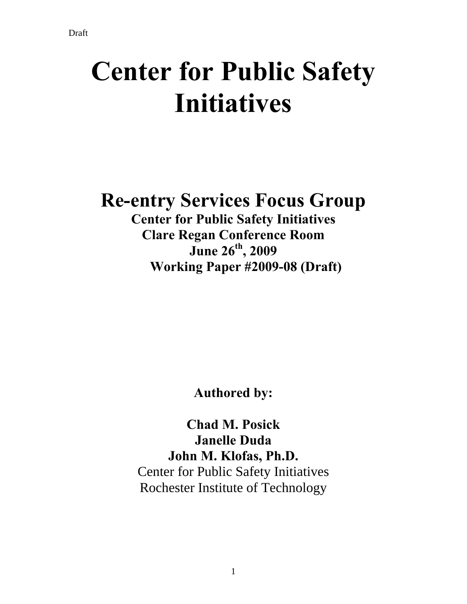# **Center for Public Safety Initiatives**

# **Re-entry Services Focus Group**

**Center for Public Safety Initiatives Clare Regan Conference Room June 26th, 2009 Working Paper #2009-08 (Draft)** 

**Authored by:** 

**Chad M. Posick Janelle Duda John M. Klofas, Ph.D.**  Center for Public Safety Initiatives Rochester Institute of Technology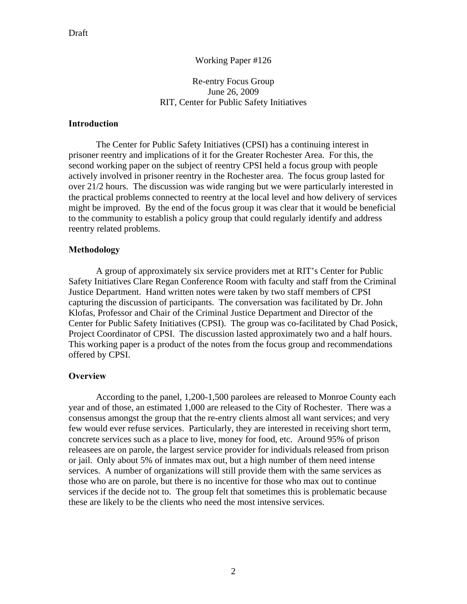#### Working Paper #126

#### Re-entry Focus Group June 26, 2009 RIT, Center for Public Safety Initiatives

#### **Introduction**

The Center for Public Safety Initiatives (CPSI) has a continuing interest in prisoner reentry and implications of it for the Greater Rochester Area. For this, the second working paper on the subject of reentry CPSI held a focus group with people actively involved in prisoner reentry in the Rochester area. The focus group lasted for over 21/2 hours. The discussion was wide ranging but we were particularly interested in the practical problems connected to reentry at the local level and how delivery of services might be improved. By the end of the focus group it was clear that it would be beneficial to the community to establish a policy group that could regularly identify and address reentry related problems.

#### **Methodology**

A group of approximately six service providers met at RIT's Center for Public Safety Initiatives Clare Regan Conference Room with faculty and staff from the Criminal Justice Department. Hand written notes were taken by two staff members of CPSI capturing the discussion of participants. The conversation was facilitated by Dr. John Klofas, Professor and Chair of the Criminal Justice Department and Director of the Center for Public Safety Initiatives (CPSI). The group was co-facilitated by Chad Posick, Project Coordinator of CPSI. The discussion lasted approximately two and a half hours. This working paper is a product of the notes from the focus group and recommendations offered by CPSI.

#### **Overview**

According to the panel, 1,200-1,500 parolees are released to Monroe County each year and of those, an estimated 1,000 are released to the City of Rochester. There was a consensus amongst the group that the re-entry clients almost all want services; and very few would ever refuse services. Particularly, they are interested in receiving short term, concrete services such as a place to live, money for food, etc. Around 95% of prison releasees are on parole, the largest service provider for individuals released from prison or jail. Only about 5% of inmates max out, but a high number of them need intense services. A number of organizations will still provide them with the same services as those who are on parole, but there is no incentive for those who max out to continue services if the decide not to. The group felt that sometimes this is problematic because these are likely to be the clients who need the most intensive services.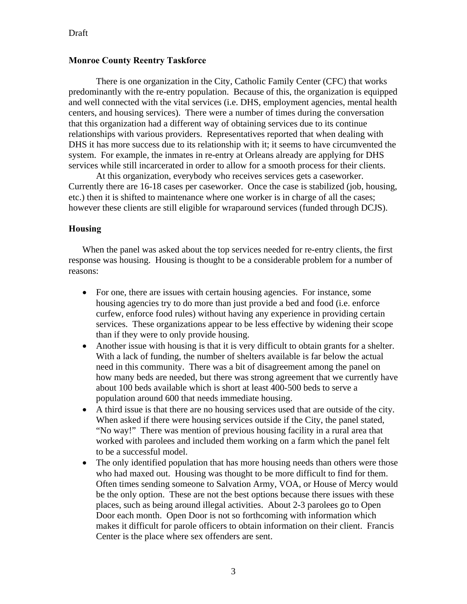## Draft

## **Monroe County Reentry Taskforce**

There is one organization in the City, Catholic Family Center (CFC) that works predominantly with the re-entry population. Because of this, the organization is equipped and well connected with the vital services (i.e. DHS, employment agencies, mental health centers, and housing services). There were a number of times during the conversation that this organization had a different way of obtaining services due to its continue relationships with various providers. Representatives reported that when dealing with DHS it has more success due to its relationship with it; it seems to have circumvented the system. For example, the inmates in re-entry at Orleans already are applying for DHS services while still incarcerated in order to allow for a smooth process for their clients.

 At this organization, everybody who receives services gets a caseworker. Currently there are 16-18 cases per caseworker. Once the case is stabilized (job, housing, etc.) then it is shifted to maintenance where one worker is in charge of all the cases; however these clients are still eligible for wraparound services (funded through DCJS).

#### **Housing**

When the panel was asked about the top services needed for re-entry clients, the first response was housing. Housing is thought to be a considerable problem for a number of reasons:

- For one, there are issues with certain housing agencies. For instance, some housing agencies try to do more than just provide a bed and food (i.e. enforce curfew, enforce food rules) without having any experience in providing certain services. These organizations appear to be less effective by widening their scope than if they were to only provide housing.
- Another issue with housing is that it is very difficult to obtain grants for a shelter. With a lack of funding, the number of shelters available is far below the actual need in this community. There was a bit of disagreement among the panel on how many beds are needed, but there was strong agreement that we currently have about 100 beds available which is short at least 400-500 beds to serve a population around 600 that needs immediate housing.
- A third issue is that there are no housing services used that are outside of the city. When asked if there were housing services outside if the City, the panel stated, "No way!" There was mention of previous housing facility in a rural area that worked with parolees and included them working on a farm which the panel felt to be a successful model.
- The only identified population that has more housing needs than others were those who had maxed out. Housing was thought to be more difficult to find for them. Often times sending someone to Salvation Army, VOA, or House of Mercy would be the only option. These are not the best options because there issues with these places, such as being around illegal activities. About 2-3 parolees go to Open Door each month. Open Door is not so forthcoming with information which makes it difficult for parole officers to obtain information on their client. Francis Center is the place where sex offenders are sent.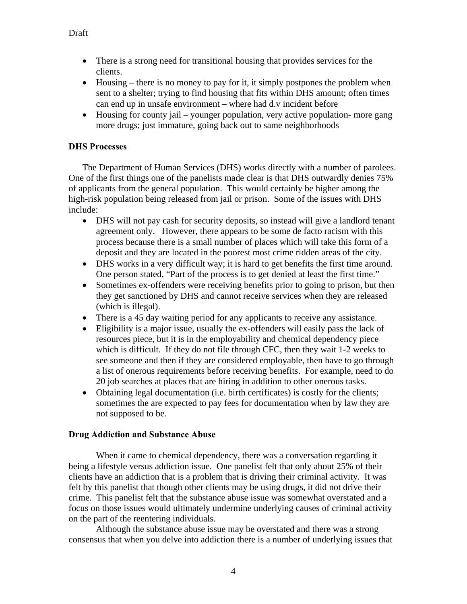- There is a strong need for transitional housing that provides services for the clients.
- Housing there is no money to pay for it, it simply postpones the problem when sent to a shelter; trying to find housing that fits within DHS amount; often times can end up in unsafe environment – where had d.v incident before
- Housing for county jail younger population, very active population- more gang more drugs; just immature, going back out to same neighborhoods

# **DHS Processes**

The Department of Human Services (DHS) works directly with a number of parolees. One of the first things one of the panelists made clear is that DHS outwardly denies 75% of applicants from the general population. This would certainly be higher among the high-risk population being released from jail or prison. Some of the issues with DHS include:

- DHS will not pay cash for security deposits, so instead will give a landlord tenant agreement only. However, there appears to be some de facto racism with this process because there is a small number of places which will take this form of a deposit and they are located in the poorest most crime ridden areas of the city.
- DHS works in a very difficult way; it is hard to get benefits the first time around. One person stated, "Part of the process is to get denied at least the first time."
- Sometimes ex-offenders were receiving benefits prior to going to prison, but then they get sanctioned by DHS and cannot receive services when they are released (which is illegal).
- There is a 45 day waiting period for any applicants to receive any assistance.
- Eligibility is a major issue, usually the ex-offenders will easily pass the lack of resources piece, but it is in the employability and chemical dependency piece which is difficult. If they do not file through CFC, then they wait 1-2 weeks to see someone and then if they are considered employable, then have to go through a list of onerous requirements before receiving benefits. For example, need to do 20 job searches at places that are hiring in addition to other onerous tasks.
- Obtaining legal documentation (i.e. birth certificates) is costly for the clients; sometimes the are expected to pay fees for documentation when by law they are not supposed to be.

# **Drug Addiction and Substance Abuse**

When it came to chemical dependency, there was a conversation regarding it being a lifestyle versus addiction issue. One panelist felt that only about 25% of their clients have an addiction that is a problem that is driving their criminal activity. It was felt by this panelist that though other clients may be using drugs, it did not drive their crime. This panelist felt that the substance abuse issue was somewhat overstated and a focus on those issues would ultimately undermine underlying causes of criminal activity on the part of the reentering individuals.

 Although the substance abuse issue may be overstated and there was a strong consensus that when you delve into addiction there is a number of underlying issues that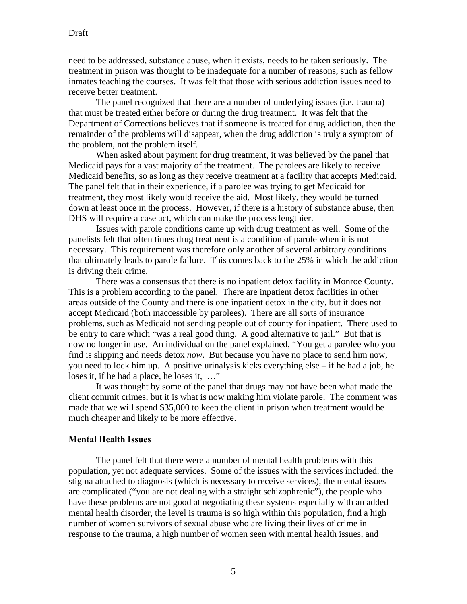need to be addressed, substance abuse, when it exists, needs to be taken seriously. The treatment in prison was thought to be inadequate for a number of reasons, such as fellow inmates teaching the courses. It was felt that those with serious addiction issues need to receive better treatment.

 The panel recognized that there are a number of underlying issues (i.e. trauma) that must be treated either before or during the drug treatment. It was felt that the Department of Corrections believes that if someone is treated for drug addiction, then the remainder of the problems will disappear, when the drug addiction is truly a symptom of the problem, not the problem itself.

 When asked about payment for drug treatment, it was believed by the panel that Medicaid pays for a vast majority of the treatment. The parolees are likely to receive Medicaid benefits, so as long as they receive treatment at a facility that accepts Medicaid. The panel felt that in their experience, if a parolee was trying to get Medicaid for treatment, they most likely would receive the aid. Most likely, they would be turned down at least once in the process. However, if there is a history of substance abuse, then DHS will require a case act, which can make the process lengthier.

 Issues with parole conditions came up with drug treatment as well. Some of the panelists felt that often times drug treatment is a condition of parole when it is not necessary. This requirement was therefore only another of several arbitrary conditions that ultimately leads to parole failure. This comes back to the 25% in which the addiction is driving their crime.

There was a consensus that there is no inpatient detox facility in Monroe County. This is a problem according to the panel. There are inpatient detox facilities in other areas outside of the County and there is one inpatient detox in the city, but it does not accept Medicaid (both inaccessible by parolees). There are all sorts of insurance problems, such as Medicaid not sending people out of county for inpatient. There used to be entry to care which "was a real good thing. A good alternative to jail." But that is now no longer in use. An individual on the panel explained, "You get a parolee who you find is slipping and needs detox *now*. But because you have no place to send him now, you need to lock him up. A positive urinalysis kicks everything else – if he had a job, he loses it, if he had a place, he loses it, …"

 It was thought by some of the panel that drugs may not have been what made the client commit crimes, but it is what is now making him violate parole. The comment was made that we will spend \$35,000 to keep the client in prison when treatment would be much cheaper and likely to be more effective.

#### **Mental Health Issues**

 The panel felt that there were a number of mental health problems with this population, yet not adequate services. Some of the issues with the services included: the stigma attached to diagnosis (which is necessary to receive services), the mental issues are complicated ("you are not dealing with a straight schizophrenic"), the people who have these problems are not good at negotiating these systems especially with an added mental health disorder, the level is trauma is so high within this population, find a high number of women survivors of sexual abuse who are living their lives of crime in response to the trauma, a high number of women seen with mental health issues, and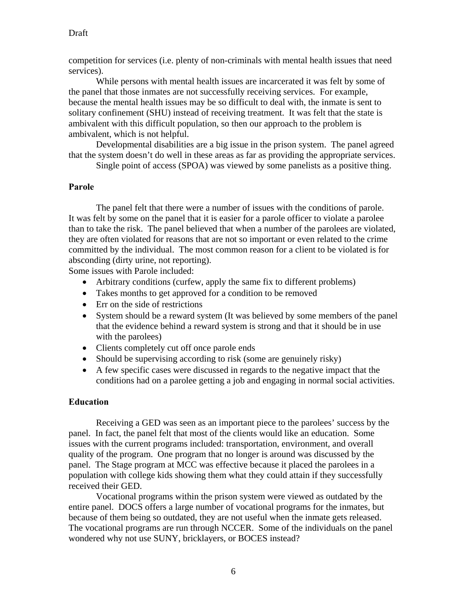competition for services (i.e. plenty of non-criminals with mental health issues that need services).

 While persons with mental health issues are incarcerated it was felt by some of the panel that those inmates are not successfully receiving services. For example, because the mental health issues may be so difficult to deal with, the inmate is sent to solitary confinement (SHU) instead of receiving treatment. It was felt that the state is ambivalent with this difficult population, so then our approach to the problem is ambivalent, which is not helpful.

 Developmental disabilities are a big issue in the prison system. The panel agreed that the system doesn't do well in these areas as far as providing the appropriate services.

Single point of access (SPOA) was viewed by some panelists as a positive thing.

## **Parole**

 The panel felt that there were a number of issues with the conditions of parole. It was felt by some on the panel that it is easier for a parole officer to violate a parolee than to take the risk. The panel believed that when a number of the parolees are violated, they are often violated for reasons that are not so important or even related to the crime committed by the individual. The most common reason for a client to be violated is for absconding (dirty urine, not reporting).

Some issues with Parole included:

- Arbitrary conditions (curfew, apply the same fix to different problems)
- Takes months to get approved for a condition to be removed
- Err on the side of restrictions
- System should be a reward system (It was believed by some members of the panel that the evidence behind a reward system is strong and that it should be in use with the parolees)
- Clients completely cut off once parole ends
- Should be supervising according to risk (some are genuinely risky)
- A few specific cases were discussed in regards to the negative impact that the conditions had on a parolee getting a job and engaging in normal social activities.

#### **Education**

 Receiving a GED was seen as an important piece to the parolees' success by the panel. In fact, the panel felt that most of the clients would like an education. Some issues with the current programs included: transportation, environment, and overall quality of the program. One program that no longer is around was discussed by the panel. The Stage program at MCC was effective because it placed the parolees in a population with college kids showing them what they could attain if they successfully received their GED.

 Vocational programs within the prison system were viewed as outdated by the entire panel. DOCS offers a large number of vocational programs for the inmates, but because of them being so outdated, they are not useful when the inmate gets released. The vocational programs are run through NCCER. Some of the individuals on the panel wondered why not use SUNY, bricklayers, or BOCES instead?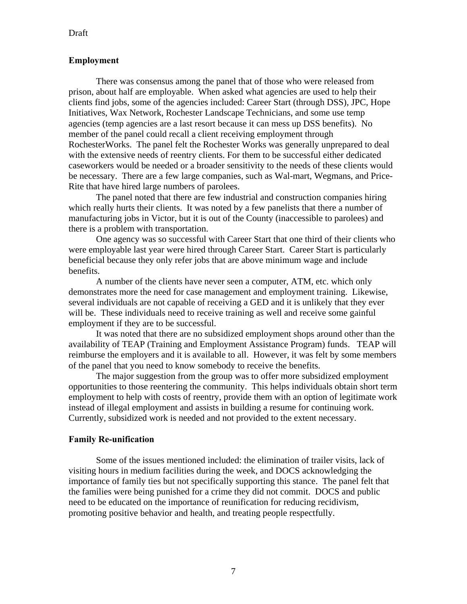#### Draft

#### **Employment**

 There was consensus among the panel that of those who were released from prison, about half are employable. When asked what agencies are used to help their clients find jobs, some of the agencies included: Career Start (through DSS), JPC, Hope Initiatives, Wax Network, Rochester Landscape Technicians, and some use temp agencies (temp agencies are a last resort because it can mess up DSS benefits). No member of the panel could recall a client receiving employment through RochesterWorks. The panel felt the Rochester Works was generally unprepared to deal with the extensive needs of reentry clients. For them to be successful either dedicated caseworkers would be needed or a broader sensitivity to the needs of these clients would be necessary. There are a few large companies, such as Wal-mart, Wegmans, and Price-Rite that have hired large numbers of parolees.

 The panel noted that there are few industrial and construction companies hiring which really hurts their clients. It was noted by a few panelists that there a number of manufacturing jobs in Victor, but it is out of the County (inaccessible to parolees) and there is a problem with transportation.

 One agency was so successful with Career Start that one third of their clients who were employable last year were hired through Career Start. Career Start is particularly beneficial because they only refer jobs that are above minimum wage and include benefits.

 A number of the clients have never seen a computer, ATM, etc. which only demonstrates more the need for case management and employment training. Likewise, several individuals are not capable of receiving a GED and it is unlikely that they ever will be. These individuals need to receive training as well and receive some gainful employment if they are to be successful.

 It was noted that there are no subsidized employment shops around other than the availability of TEAP (Training and Employment Assistance Program) funds. TEAP will reimburse the employers and it is available to all. However, it was felt by some members of the panel that you need to know somebody to receive the benefits.

 The major suggestion from the group was to offer more subsidized employment opportunities to those reentering the community. This helps individuals obtain short term employment to help with costs of reentry, provide them with an option of legitimate work instead of illegal employment and assists in building a resume for continuing work. Currently, subsidized work is needed and not provided to the extent necessary.

#### **Family Re-unification**

 Some of the issues mentioned included: the elimination of trailer visits, lack of visiting hours in medium facilities during the week, and DOCS acknowledging the importance of family ties but not specifically supporting this stance. The panel felt that the families were being punished for a crime they did not commit. DOCS and public need to be educated on the importance of reunification for reducing recidivism, promoting positive behavior and health, and treating people respectfully.